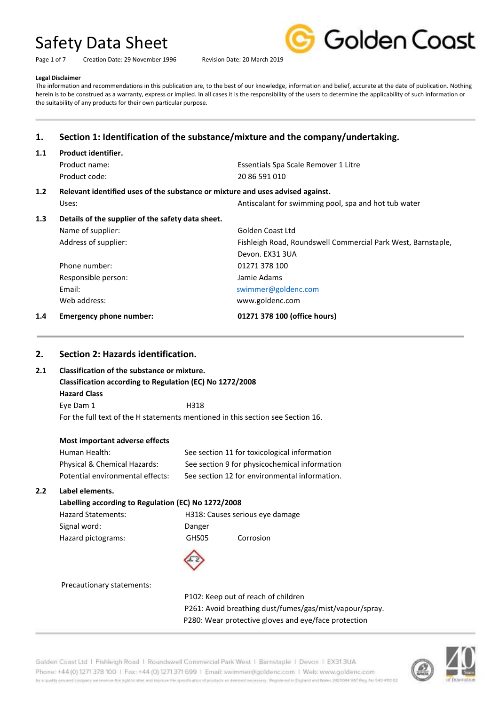Page 1 of 7 Creation Date: 29 November 1996 Revision Date: 20 March 2019



#### **Legal Disclaimer**

The information and recommendations in this publication are, to the best of our knowledge, information and belief, accurate at the date of publication. Nothing herein is to be construed as a warranty, express or implied. In all cases it is the responsibility of the users to determine the applicability of such information or the suitability of any products for their own particular purpose.

# **1. Section 1: Identification of the substance/mixture and the company/undertaking.**

# **1.1 Product identifier.** Product name: Essentials Spa Scale Remover 1 Litre Product code: 20 86 591 010 **1.2 Relevant identified uses of the substance or mixture and uses advised against.** Uses: Matter and the Museum of the Museum of Antiscalant for swimming pool, spa and hot tub water **1.3 Details of the supplier of the safety data sheet.** Name of supplier: Golden Coast Ltd Address of supplier: Fishleigh Road, Roundswell Commercial Park West, Barnstaple, Devon. EX31 3UA Phone number: 01271 378 100 Responsible person: Jamie Adams Email: [swimmer@goldenc.com](mailto:swimmer@goldenc.com) Web address: www.goldenc.com **1.4 Emergency phone number: 01271 378 100 (office hours)**

## **2. Section 2: Hazards identification.**

## **2.1 Classification of the substance or mixture.**

**Classification according to Regulation (EC) No 1272/2008 Hazard Class** Eye Dam 1 H318 For the full text of the H statements mentioned in this section see Section 16.

## **Most important adverse effects**

| Human Health:                    | See section 11 for toxicological information  |
|----------------------------------|-----------------------------------------------|
| Physical & Chemical Hazards:     | See section 9 for physicochemical information |
| Potential environmental effects: | See section 12 for environmental information. |

## **2.2 Label elements.**

## **Labelling according to Regulation (EC) No 1272/2008**

| <b>Hazard Statements:</b> |        | H318: Causes serious eye damage |
|---------------------------|--------|---------------------------------|
| Signal word:              | Danger |                                 |
| Hazard pictograms:        | GHS05  | Corrosion                       |



## Precautionary statements:

 P102: Keep out of reach of children P261: Avoid breathing dust/fumes/gas/mist/vapour/spray. P280: Wear protective gloves and eye/face protection

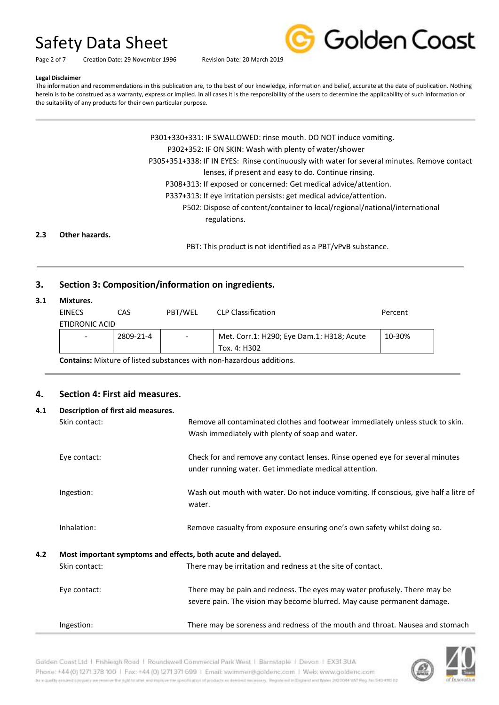

Page 2 of 7 Creation Date: 29 November 1996 Revision Date: 20 March 2019

#### **Legal Disclaimer**

The information and recommendations in this publication are, to the best of our knowledge, information and belief, accurate at the date of publication. Nothing herein is to be construed as a warranty, express or implied. In all cases it is the responsibility of the users to determine the applicability of such information or the suitability of any products for their own particular purpose.

> P301+330+331: IF SWALLOWED: rinse mouth. DO NOT induce vomiting. P302+352: IF ON SKIN: Wash with plenty of water/shower P305+351+338: IF IN EYES: Rinse continuously with water for several minutes. Remove contact lenses, if present and easy to do. Continue rinsing. P308+313: If exposed or concerned: Get medical advice/attention. P337+313: If eye irritation persists: get medical advice/attention. P502: Dispose of content/container to local/regional/national/international regulations.

## **2.3 Other hazards.**

PBT: This product is not identified as a PBT/vPvB substance.

## **3. Section 3: Composition/information on ingredients.**

### **3.1 Mixtures.**

| IVIIALUI CJ.                                                               |           |                          |                                           |         |
|----------------------------------------------------------------------------|-----------|--------------------------|-------------------------------------------|---------|
| <b>EINECS</b>                                                              | CAS       | PBT/WEL                  | <b>CLP Classification</b>                 | Percent |
| ETIDRONIC ACID                                                             |           |                          |                                           |         |
|                                                                            | 2809-21-4 | $\overline{\phantom{a}}$ | Met. Corr.1: H290; Eye Dam.1: H318; Acute | 10-30%  |
|                                                                            |           |                          | Tox. 4: H302                              |         |
| <b>Contains:</b> Mixture of listed substances with non-hazardous additions |           |                          |                                           |         |

**Contains:** Mixture of listed substances with non-hazardous additions.

## **4. Section 4: First aid measures.**

| 4.1 | Description of first aid measures.                           |                                                                                       |
|-----|--------------------------------------------------------------|---------------------------------------------------------------------------------------|
|     | Skin contact:                                                | Remove all contaminated clothes and footwear immediately unless stuck to skin.        |
|     |                                                              | Wash immediately with plenty of soap and water.                                       |
|     | Eye contact:                                                 | Check for and remove any contact lenses. Rinse opened eye for several minutes         |
|     |                                                              | under running water. Get immediate medical attention.                                 |
|     | Ingestion:                                                   | Wash out mouth with water. Do not induce vomiting. If conscious, give half a litre of |
|     |                                                              | water.                                                                                |
|     | Inhalation:                                                  | Remove casualty from exposure ensuring one's own safety whilst doing so.              |
| 4.2 | Most important symptoms and effects, both acute and delayed. |                                                                                       |
|     | Skin contact:                                                | There may be irritation and redness at the site of contact.                           |
|     | Eye contact:                                                 | There may be pain and redness. The eyes may water profusely. There may be             |
|     |                                                              | severe pain. The vision may become blurred. May cause permanent damage.               |
|     | Ingestion:                                                   | There may be soreness and redness of the mouth and throat. Nausea and stomach         |

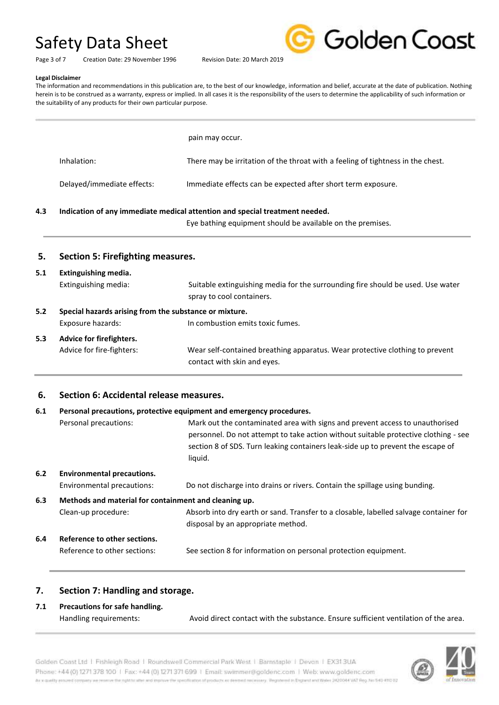

Page 3 of 7 Creation Date: 29 November 1996 Revision Date: 20 March 2019

#### **Legal Disclaimer**

The information and recommendations in this publication are, to the best of our knowledge, information and belief, accurate at the date of publication. Nothing herein is to be construed as a warranty, express or implied. In all cases it is the responsibility of the users to determine the applicability of such information or the suitability of any products for their own particular purpose.

|                            | pain may occur.                                                                 |
|----------------------------|---------------------------------------------------------------------------------|
| Inhalation:                | There may be irritation of the throat with a feeling of tightness in the chest. |
| Delayed/immediate effects: | Immediate effects can be expected after short term exposure.                    |

## **4.3 Indication of any immediate medical attention and special treatment needed.**

Eye bathing equipment should be available on the premises.

| 5.  | <b>Section 5: Firefighting measures.</b>                                    |                                                                                                              |
|-----|-----------------------------------------------------------------------------|--------------------------------------------------------------------------------------------------------------|
| 5.1 | Extinguishing media.<br>Extinguishing media:                                | Suitable extinguishing media for the surrounding fire should be used. Use water<br>spray to cool containers. |
| 5.2 | Special hazards arising from the substance or mixture.<br>Exposure hazards: | In combustion emits toxic fumes.                                                                             |
| 5.3 | Advice for firefighters.<br>Advice for fire-fighters:                       | Wear self-contained breathing apparatus. Wear protective clothing to prevent<br>contact with skin and eyes.  |

## **6. Section 6: Accidental release measures.**

## **6.1 Personal precautions, protective equipment and emergency procedures.**

|     | Personal precautions:             | Mark out the contaminated area with signs and prevent access to unauthorised                                                                                           |
|-----|-----------------------------------|------------------------------------------------------------------------------------------------------------------------------------------------------------------------|
|     |                                   | personnel. Do not attempt to take action without suitable protective clothing - see<br>section 8 of SDS. Turn leaking containers leak-side up to prevent the escape of |
|     |                                   | liauid.                                                                                                                                                                |
| 6.2 | <b>Environmental precautions.</b> |                                                                                                                                                                        |

|                                                              | Environmental precautions:   | Do not discharge into drains or rivers. Contain the spillage using bunding.                                                 |
|--------------------------------------------------------------|------------------------------|-----------------------------------------------------------------------------------------------------------------------------|
| Methods and material for containment and cleaning up.<br>6.3 |                              |                                                                                                                             |
|                                                              | Clean-up procedure:          | Absorb into dry earth or sand. Transfer to a closable, labelled salvage container for<br>disposal by an appropriate method. |
| 6.4                                                          | Reference to other sections. |                                                                                                                             |

Reference to other sections: See section 8 for information on personal protection equipment.

## **7. Section 7: Handling and storage.**

**7.1 Precautions for safe handling.** Handling requirements: Avoid direct contact with the substance. Ensure sufficient ventilation of the area.



Golden Coast Ltd | Fishleigh Road | Roundswell Commercial Park West | Barnstaple | Devon | EX313UA Phone: +44 (0) 1271 378 100 | Fax: +44 (0) 1271 371 699 | Email: swimmer@goldenc.com | Web: www.goldenc.com As a quality ensured company we reserve the right to aller and impose the specification of products as deemed receivary. Registered in England and Wales (AQSO44 VAT Reg. Just 540 410 D2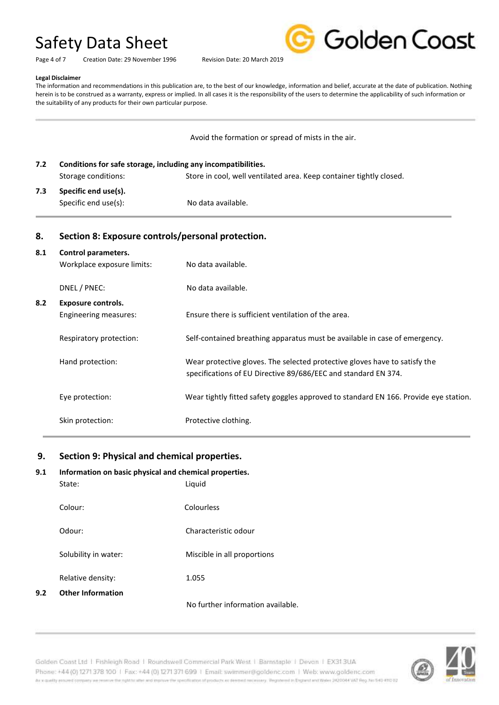Golden Coast

## Page 4 of 7 Creation Date: 29 November 1996 Revision Date: 20 March 2019

#### **Legal Disclaimer**

The information and recommendations in this publication are, to the best of our knowledge, information and belief, accurate at the date of publication. Nothing herein is to be construed as a warranty, express or implied. In all cases it is the responsibility of the users to determine the applicability of such information or the suitability of any products for their own particular purpose.

| Avoid the formation or spread of mists in the air. |  |
|----------------------------------------------------|--|
|                                                    |  |
|                                                    |  |

**7.2 Conditions for safe storage, including any incompatibilities.** Storage conditions: Store in cool, well ventilated area. Keep container tightly closed. **7.3 Specific end use(s).**

Specific end use(s): No data available.

## **8. Section 8: Exposure controls/personal protection.**

| 8.1 | Control parameters.<br>Workplace exposure limits: | No data available.                                                                                                                           |
|-----|---------------------------------------------------|----------------------------------------------------------------------------------------------------------------------------------------------|
|     | DNEL / PNEC:                                      | No data available.                                                                                                                           |
| 8.2 | Exposure controls.<br>Engineering measures:       | Ensure there is sufficient ventilation of the area.                                                                                          |
|     | Respiratory protection:                           | Self-contained breathing apparatus must be available in case of emergency.                                                                   |
|     | Hand protection:                                  | Wear protective gloves. The selected protective gloves have to satisfy the<br>specifications of EU Directive 89/686/EEC and standard EN 374. |
|     | Eye protection:                                   | Wear tightly fitted safety goggles approved to standard EN 166. Provide eye station.                                                         |
|     | Skin protection:                                  | Protective clothing.                                                                                                                         |

# **9. Section 9: Physical and chemical properties.**

## **9.1 Information on basic physical and chemical properties.**

|     | State:                   | Liquid                            |
|-----|--------------------------|-----------------------------------|
|     | Colour:                  | Colourless                        |
|     | Odour:                   | Characteristic odour              |
|     | Solubility in water:     | Miscible in all proportions       |
|     | Relative density:        | 1.055                             |
| 9.2 | <b>Other Information</b> |                                   |
|     |                          | No further information available. |

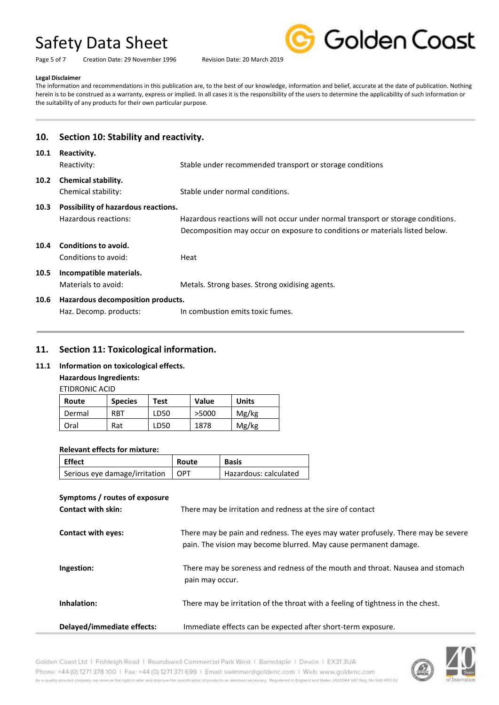Page 5 of 7 Creation Date: 29 November 1996 Revision Date: 20 March 2019



#### **Legal Disclaimer**

The information and recommendations in this publication are, to the best of our knowledge, information and belief, accurate at the date of publication. Nothing herein is to be construed as a warranty, express or implied. In all cases it is the responsibility of the users to determine the applicability of such information or the suitability of any products for their own particular purpose.

| 10.  | Section 10: Stability and reactivity.                       |                                                                                                                                                                  |
|------|-------------------------------------------------------------|------------------------------------------------------------------------------------------------------------------------------------------------------------------|
| 10.1 | Reactivity.<br>Reactivity:                                  | Stable under recommended transport or storage conditions                                                                                                         |
| 10.2 | <b>Chemical stability.</b><br>Chemical stability:           | Stable under normal conditions.                                                                                                                                  |
| 10.3 | Possibility of hazardous reactions.<br>Hazardous reactions: | Hazardous reactions will not occur under normal transport or storage conditions.<br>Decomposition may occur on exposure to conditions or materials listed below. |
| 10.4 | Conditions to avoid.<br>Conditions to avoid:                | Heat                                                                                                                                                             |
| 10.5 | Incompatible materials.<br>Materials to avoid:              | Metals. Strong bases. Strong oxidising agents.                                                                                                                   |
| 10.6 | Hazardous decomposition products.<br>Haz. Decomp. products: | In combustion emits toxic fumes.                                                                                                                                 |

## **11. Section 11: Toxicological information.**

## **11.1 Information on toxicological effects.**

## **Hazardous Ingredients:**

ETIDRONIC ACID

| Route  | <b>Species</b> | Test | Value | Units |
|--------|----------------|------|-------|-------|
| Dermal | <b>RBT</b>     | LD50 | >5000 | Mg/kg |
| Oral   | Rat            | LD50 | 1878  | Mg/kg |

## **Relevant effects for mixture:**

| <b>Effect</b>                 | Route | <b>Basis</b>          |
|-------------------------------|-------|-----------------------|
| Serious eye damage/irritation | OPT   | Hazardous: calculated |

| Symptoms / routes of exposure<br><b>Contact with skin:</b> | There may be irritation and redness at the sire of contact                                                                                           |
|------------------------------------------------------------|------------------------------------------------------------------------------------------------------------------------------------------------------|
| <b>Contact with eyes:</b>                                  | There may be pain and redness. The eyes may water profusely. There may be severe<br>pain. The vision may become blurred. May cause permanent damage. |
| Ingestion:                                                 | There may be soreness and redness of the mouth and throat. Nausea and stomach<br>pain may occur.                                                     |
| Inhalation:                                                | There may be irritation of the throat with a feeling of tightness in the chest.                                                                      |
| Delayed/immediate effects:                                 | Immediate effects can be expected after short-term exposure.                                                                                         |



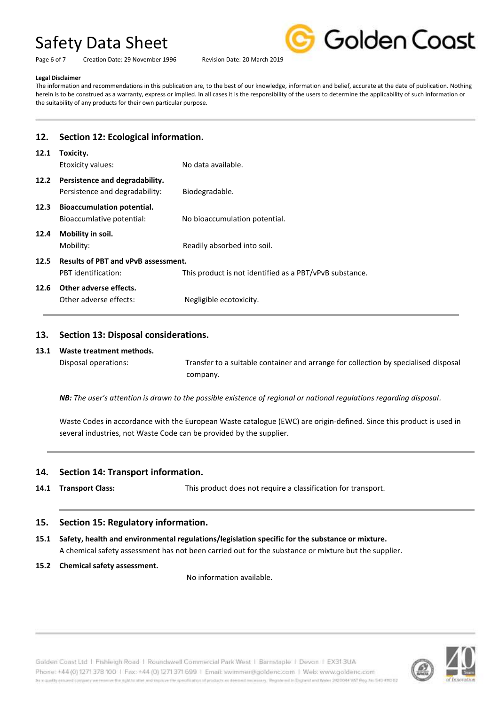Page 6 of 7 Creation Date: 29 November 1996 Revision Date: 20 March 2019



#### **Legal Disclaimer**

The information and recommendations in this publication are, to the best of our knowledge, information and belief, accurate at the date of publication. Nothing herein is to be construed as a warranty, express or implied. In all cases it is the responsibility of the users to determine the applicability of such information or the suitability of any products for their own particular purpose.

# **12. Section 12: Ecological information.**

| 12.1 | Toxicity.<br>Etoxicity values:                                                                                               | No data available.            |
|------|------------------------------------------------------------------------------------------------------------------------------|-------------------------------|
| 12.2 | Persistence and degradability.<br>Persistence and degradability:                                                             | Biodegradable.                |
| 12.3 | <b>Bioaccumulation potential.</b><br>Bioaccumlative potential:                                                               | No bioaccumulation potential. |
| 12.4 | Mobility in soil.<br>Mobility:                                                                                               | Readily absorbed into soil.   |
| 12.5 | <b>Results of PBT and vPvB assessment.</b><br>This product is not identified as a PBT/vPvB substance.<br>PBT identification: |                               |
| 12.6 | Other adverse effects.<br>Other adverse effects:                                                                             | Negligible ecotoxicity.       |

## **13. Section 13: Disposal considerations.**

## **13.1 Waste treatment methods.**

Disposal operations: Transfer to a suitable container and arrange for collection by specialised disposal company.

*NB: The user's attention is drawn to the possible existence of regional or national regulations regarding disposal.*

Waste Codes in accordance with the European Waste catalogue (EWC) are origin-defined. Since this product is used in several industries, not Waste Code can be provided by the supplier.

## **14. Section 14: Transport information.**

**14.1 Transport Class:** This product does not require a classification for transport.

## **15. Section 15: Regulatory information.**

- **15.1 Safety, health and environmental regulations/legislation specific for the substance or mixture.** A chemical safety assessment has not been carried out for the substance or mixture but the supplier.
- **15.2 Chemical safety assessment.**

No information available.